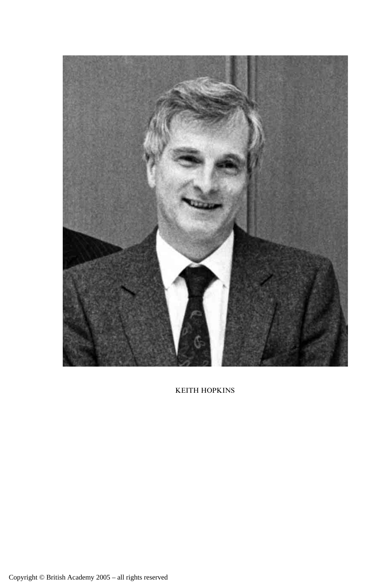

KEITH HOPKINS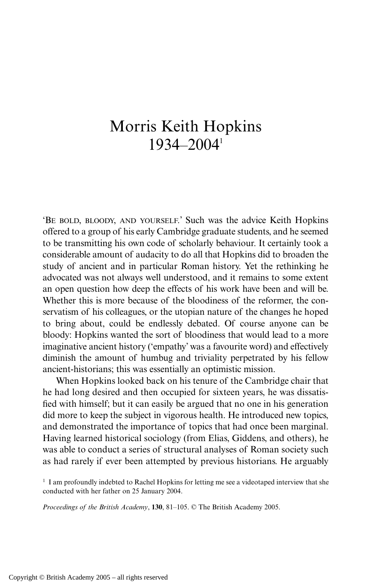## Morris Keith Hopkins 1934–20041

'BE BOLD, BLOODY, AND YOURSELF.' Such was the advice Keith Hopkins offered to a group of his early Cambridge graduate students, and he seemed to be transmitting his own code of scholarly behaviour. It certainly took a considerable amount of audacity to do all that Hopkins did to broaden the study of ancient and in particular Roman history. Yet the rethinking he advocated was not always well understood, and it remains to some extent an open question how deep the effects of his work have been and will be. Whether this is more because of the bloodiness of the reformer, the conservatism of his colleagues, or the utopian nature of the changes he hoped to bring about, could be endlessly debated. Of course anyone can be bloody: Hopkins wanted the sort of bloodiness that would lead to a more imaginative ancient history ('empathy' was a favourite word) and effectively diminish the amount of humbug and triviality perpetrated by his fellow ancient-historians; this was essentially an optimistic mission.

When Hopkins looked back on his tenure of the Cambridge chair that he had long desired and then occupied for sixteen years, he was dissatisfied with himself; but it can easily be argued that no one in his generation did more to keep the subject in vigorous health. He introduced new topics, and demonstrated the importance of topics that had once been marginal. Having learned historical sociology (from Elias, Giddens, and others), he was able to conduct a series of structural analyses of Roman society such as had rarely if ever been attempted by previous historians. He arguably

 $<sup>1</sup>$  I am profoundly indebted to Rachel Hopkins for letting me see a videotaped interview that she</sup> conducted with her father on 25 January 2004.

*Proceedings of the British Academy*, **130**, 81–105. © The British Academy 2005.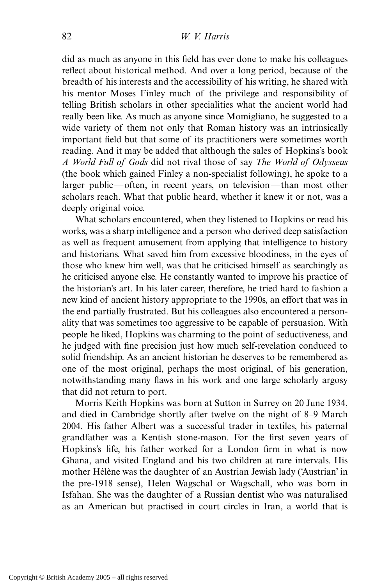did as much as anyone in this field has ever done to make his colleagues reflect about historical method. And over a long period, because of the breadth of his interests and the accessibility of his writing, he shared with his mentor Moses Finley much of the privilege and responsibility of telling British scholars in other specialities what the ancient world had really been like. As much as anyone since Momigliano, he suggested to a wide variety of them not only that Roman history was an intrinsically important field but that some of its practitioners were sometimes worth reading. And it may be added that although the sales of Hopkins's book *A World Full of Gods* did not rival those of say *The World of Odysseus* (the book which gained Finley a non-specialist following), he spoke to a larger public—often, in recent years, on television—than most other scholars reach. What that public heard, whether it knew it or not, was a deeply original voice.

What scholars encountered, when they listened to Hopkins or read his works, was a sharp intelligence and a person who derived deep satisfaction as well as frequent amusement from applying that intelligence to history and historians. What saved him from excessive bloodiness, in the eyes of those who knew him well, was that he criticised himself as searchingly as he criticised anyone else. He constantly wanted to improve his practice of the historian's art. In his later career, therefore, he tried hard to fashion a new kind of ancient history appropriate to the 1990s, an effort that was in the end partially frustrated. But his colleagues also encountered a personality that was sometimes too aggressive to be capable of persuasion. With people he liked, Hopkins was charming to the point of seductiveness, and he judged with fine precision just how much self-revelation conduced to solid friendship. As an ancient historian he deserves to be remembered as one of the most original, perhaps the most original, of his generation, notwithstanding many flaws in his work and one large scholarly argosy that did not return to port.

Morris Keith Hopkins was born at Sutton in Surrey on 20 June 1934, and died in Cambridge shortly after twelve on the night of 8–9 March 2004. His father Albert was a successful trader in textiles, his paternal grandfather was a Kentish stone-mason. For the first seven years of Hopkins's life, his father worked for a London firm in what is now Ghana, and visited England and his two children at rare intervals. His mother Hélène was the daughter of an Austrian Jewish lady ('Austrian' in the pre-1918 sense), Helen Wagschal or Wagschall, who was born in Isfahan. She was the daughter of a Russian dentist who was naturalised as an American but practised in court circles in Iran, a world that is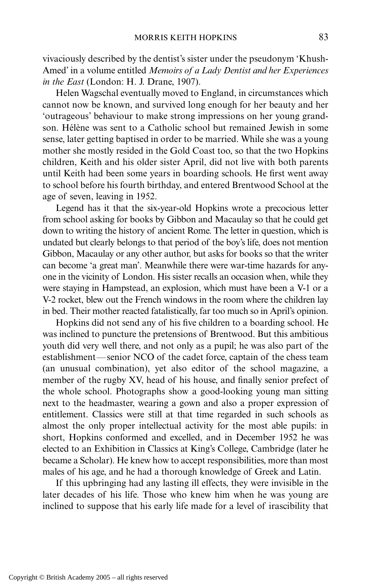vivaciously described by the dentist's sister under the pseudonym 'Khush-Amed' in a volume entitled *Memoirs of a Lady Dentist and her Experiences in the East* (London: H. J. Drane, 1907).

Helen Wagschal eventually moved to England, in circumstances which cannot now be known, and survived long enough for her beauty and her 'outrageous' behaviour to make strong impressions on her young grandson. Hélène was sent to a Catholic school but remained Jewish in some sense, later getting baptised in order to be married. While she was a young mother she mostly resided in the Gold Coast too, so that the two Hopkins children, Keith and his older sister April, did not live with both parents until Keith had been some years in boarding schools. He first went away to school before his fourth birthday, and entered Brentwood School at the age of seven, leaving in 1952.

Legend has it that the six-year-old Hopkins wrote a precocious letter from school asking for books by Gibbon and Macaulay so that he could get down to writing the history of ancient Rome. The letter in question, which is undated but clearly belongs to that period of the boy's life, does not mention Gibbon, Macaulay or any other author, but asks for books so that the writer can become 'a great man'. Meanwhile there were war-time hazards for anyone in the vicinity of London. His sister recalls an occasion when, while they were staying in Hampstead, an explosion, which must have been a V-1 or a V-2 rocket, blew out the French windows in the room where the children lay in bed. Their mother reacted fatalistically, far too much so in April's opinion.

Hopkins did not send any of his five children to a boarding school. He was inclined to puncture the pretensions of Brentwood. But this ambitious youth did very well there, and not only as a pupil; he was also part of the establishment—senior NCO of the cadet force, captain of the chess team (an unusual combination), yet also editor of the school magazine, a member of the rugby XV, head of his house, and finally senior prefect of the whole school. Photographs show a good-looking young man sitting next to the headmaster, wearing a gown and also a proper expression of entitlement. Classics were still at that time regarded in such schools as almost the only proper intellectual activity for the most able pupils: in short, Hopkins conformed and excelled, and in December 1952 he was elected to an Exhibition in Classics at King's College, Cambridge (later he became a Scholar). He knew how to accept responsibilities, more than most males of his age, and he had a thorough knowledge of Greek and Latin.

If this upbringing had any lasting ill effects, they were invisible in the later decades of his life. Those who knew him when he was young are inclined to suppose that his early life made for a level of irascibility that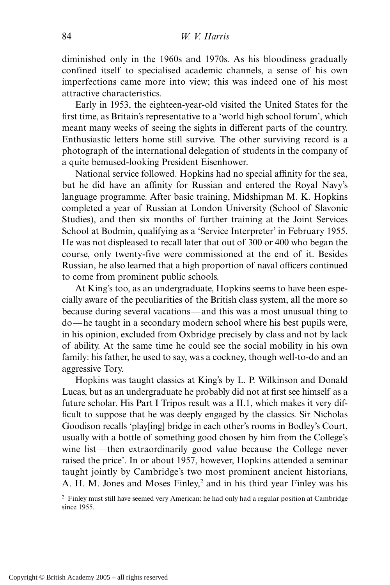diminished only in the 1960s and 1970s. As his bloodiness gradually confined itself to specialised academic channels, a sense of his own imperfections came more into view; this was indeed one of his most attractive characteristics.

Early in 1953, the eighteen-year-old visited the United States for the first time, as Britain's representative to a 'world high school forum', which meant many weeks of seeing the sights in different parts of the country. Enthusiastic letters home still survive. The other surviving record is a photograph of the international delegation of students in the company of a quite bemused-looking President Eisenhower.

National service followed. Hopkins had no special affinity for the sea, but he did have an affinity for Russian and entered the Royal Navy's language programme. After basic training, Midshipman M. K. Hopkins completed a year of Russian at London University (School of Slavonic Studies), and then six months of further training at the Joint Services School at Bodmin, qualifying as a 'Service Interpreter' in February 1955. He was not displeased to recall later that out of 300 or 400 who began the course, only twenty-five were commissioned at the end of it. Besides Russian, he also learned that a high proportion of naval officers continued to come from prominent public schools.

At King's too, as an undergraduate, Hopkins seems to have been especially aware of the peculiarities of the British class system, all the more so because during several vacations—and this was a most unusual thing to do—he taught in a secondary modern school where his best pupils were, in his opinion, excluded from Oxbridge precisely by class and not by lack of ability. At the same time he could see the social mobility in his own family: his father, he used to say, was a cockney, though well-to-do and an aggressive Tory.

Hopkins was taught classics at King's by L. P. Wilkinson and Donald Lucas, but as an undergraduate he probably did not at first see himself as a future scholar. His Part I Tripos result was a II.1, which makes it very difficult to suppose that he was deeply engaged by the classics. Sir Nicholas Goodison recalls 'play[ing] bridge in each other's rooms in Bodley's Court, usually with a bottle of something good chosen by him from the College's wine list—then extraordinarily good value because the College never raised the price'. In or about 1957, however, Hopkins attended a seminar taught jointly by Cambridge's two most prominent ancient historians, A. H. M. Jones and Moses Finley,<sup>2</sup> and in his third year Finley was his

<sup>2</sup> Finley must still have seemed very American: he had only had a regular position at Cambridge since 1955.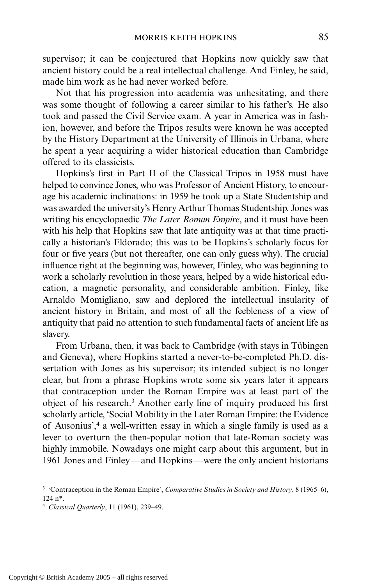supervisor; it can be conjectured that Hopkins now quickly saw that ancient history could be a real intellectual challenge. And Finley, he said, made him work as he had never worked before.

Not that his progression into academia was unhesitating, and there was some thought of following a career similar to his father's. He also took and passed the Civil Service exam. A year in America was in fashion, however, and before the Tripos results were known he was accepted by the History Department at the University of Illinois in Urbana, where he spent a year acquiring a wider historical education than Cambridge offered to its classicists.

Hopkins's first in Part II of the Classical Tripos in 1958 must have helped to convince Jones, who was Professor of Ancient History, to encourage his academic inclinations: in 1959 he took up a State Studentship and was awarded the university's Henry Arthur Thomas Studentship. Jones was writing his encyclopaedic *The Later Roman Empire*, and it must have been with his help that Hopkins saw that late antiquity was at that time practically a historian's Eldorado; this was to be Hopkins's scholarly focus for four or five years (but not thereafter, one can only guess why). The crucial influence right at the beginning was, however, Finley, who was beginning to work a scholarly revolution in those years, helped by a wide historical education, a magnetic personality, and considerable ambition. Finley, like Arnaldo Momigliano, saw and deplored the intellectual insularity of ancient history in Britain, and most of all the feebleness of a view of antiquity that paid no attention to such fundamental facts of ancient life as slavery.

From Urbana, then, it was back to Cambridge (with stays in Tübingen and Geneva), where Hopkins started a never-to-be-completed Ph.D. dissertation with Jones as his supervisor; its intended subject is no longer clear, but from a phrase Hopkins wrote some six years later it appears that contraception under the Roman Empire was at least part of the object of his research.3 Another early line of inquiry produced his first scholarly article, 'Social Mobility in the Later Roman Empire: the Evidence of Ausonius',4 a well-written essay in which a single family is used as a lever to overturn the then-popular notion that late-Roman society was highly immobile. Nowadays one might carp about this argument, but in 1961 Jones and Finley—and Hopkins—were the only ancient historians

<sup>3</sup> 'Contraception in the Roman Empire', *Comparative Studies in Society and History*, 8 (1965–6), 124 n\*.

<sup>4</sup> *Classical Quarterly*, 11 (1961), 239–49.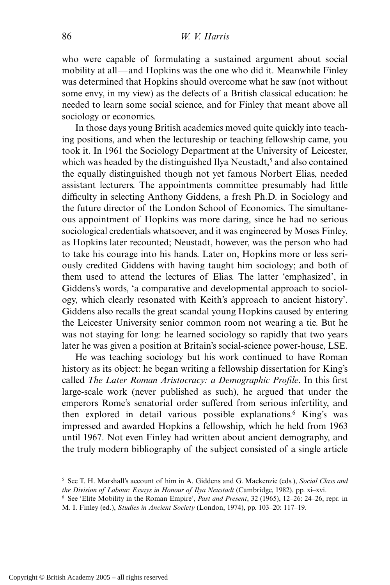who were capable of formulating a sustained argument about social mobility at all—and Hopkins was the one who did it. Meanwhile Finley was determined that Hopkins should overcome what he saw (not without some envy, in my view) as the defects of a British classical education: he needed to learn some social science, and for Finley that meant above all sociology or economics.

In those days young British academics moved quite quickly into teaching positions, and when the lectureship or teaching fellowship came, you took it. In 1961 the Sociology Department at the University of Leicester, which was headed by the distinguished Ilya Neustadt,<sup>5</sup> and also contained the equally distinguished though not yet famous Norbert Elias, needed assistant lecturers. The appointments committee presumably had little difficulty in selecting Anthony Giddens, a fresh Ph.D. in Sociology and the future director of the London School of Economics. The simultaneous appointment of Hopkins was more daring, since he had no serious sociological credentials whatsoever, and it was engineered by Moses Finley, as Hopkins later recounted; Neustadt, however, was the person who had to take his courage into his hands. Later on, Hopkins more or less seriously credited Giddens with having taught him sociology; and both of them used to attend the lectures of Elias. The latter 'emphasized', in Giddens's words, 'a comparative and developmental approach to sociology, which clearly resonated with Keith's approach to ancient history'. Giddens also recalls the great scandal young Hopkins caused by entering the Leicester University senior common room not wearing a tie. But he was not staying for long: he learned sociology so rapidly that two years later he was given a position at Britain's social-science power-house, LSE.

He was teaching sociology but his work continued to have Roman history as its object: he began writing a fellowship dissertation for King's called *The Later Roman Aristocracy: a Demographic Profile*. In this first large-scale work (never published as such), he argued that under the emperors Rome's senatorial order suffered from serious infertility, and then explored in detail various possible explanations.6 King's was impressed and awarded Hopkins a fellowship, which he held from 1963 until 1967. Not even Finley had written about ancient demography, and the truly modern bibliography of the subject consisted of a single article

<sup>5</sup> See T. H. Marshall's account of him in A. Giddens and G. Mackenzie (eds.), *Social Class and the Division of Labour: Essays in Honour of Ilya Neustadt* (Cambridge, 1982), pp. xi–xvi.

<sup>6</sup> See 'Elite Mobility in the Roman Empire', *Past and Present*, 32 (1965), 12–26: 24–26, repr. in M. I. Finley (ed.), *Studies in Ancient Society* (London, 1974), pp. 103–20: 117–19.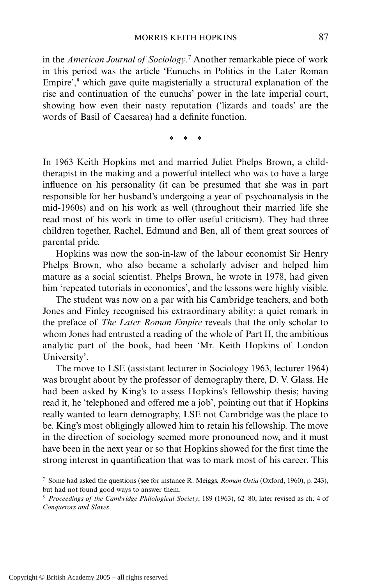in the *American Journal of Sociology*. <sup>7</sup> Another remarkable piece of work in this period was the article 'Eunuchs in Politics in the Later Roman Empire', $8$  which gave quite magisterially a structural explanation of the rise and continuation of the eunuchs' power in the late imperial court, showing how even their nasty reputation ('lizards and toads' are the words of Basil of Caesarea) had a definite function.

\*\*\*

In 1963 Keith Hopkins met and married Juliet Phelps Brown, a childtherapist in the making and a powerful intellect who was to have a large influence on his personality (it can be presumed that she was in part responsible for her husband's undergoing a year of psychoanalysis in the mid-1960s) and on his work as well (throughout their married life she read most of his work in time to offer useful criticism). They had three children together, Rachel, Edmund and Ben, all of them great sources of parental pride.

Hopkins was now the son-in-law of the labour economist Sir Henry Phelps Brown, who also became a scholarly adviser and helped him mature as a social scientist. Phelps Brown, he wrote in 1978, had given him 'repeated tutorials in economics', and the lessons were highly visible.

The student was now on a par with his Cambridge teachers, and both Jones and Finley recognised his extraordinary ability; a quiet remark in the preface of *The Later Roman Empire* reveals that the only scholar to whom Jones had entrusted a reading of the whole of Part II, the ambitious analytic part of the book, had been 'Mr. Keith Hopkins of London University'.

The move to LSE (assistant lecturer in Sociology 1963, lecturer 1964) was brought about by the professor of demography there, D. V. Glass. He had been asked by King's to assess Hopkins's fellowship thesis; having read it, he 'telephoned and offered me a job', pointing out that if Hopkins really wanted to learn demography, LSE not Cambridge was the place to be. King's most obligingly allowed him to retain his fellowship. The move in the direction of sociology seemed more pronounced now, and it must have been in the next year or so that Hopkins showed for the first time the strong interest in quantification that was to mark most of his career. This

<sup>7</sup> Some had asked the questions (see for instance R. Meiggs, *Roman Ostia* (Oxford, 1960), p. 243), but had not found good ways to answer them.

<sup>8</sup> *Proceedings of the Cambridge Philological Society*, 189 (1963), 62–80, later revised as ch. 4 of *Conquerors and Slaves*.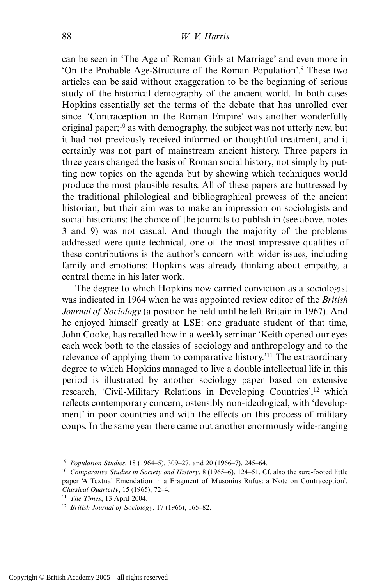can be seen in 'The Age of Roman Girls at Marriage' and even more in 'On the Probable Age-Structure of the Roman Population'.9 These two articles can be said without exaggeration to be the beginning of serious study of the historical demography of the ancient world. In both cases Hopkins essentially set the terms of the debate that has unrolled ever since. 'Contraception in the Roman Empire' was another wonderfully original paper;<sup>10</sup> as with demography, the subject was not utterly new, but it had not previously received informed or thoughtful treatment, and it certainly was not part of mainstream ancient history. Three papers in three years changed the basis of Roman social history, not simply by putting new topics on the agenda but by showing which techniques would produce the most plausible results. All of these papers are buttressed by the traditional philological and bibliographical prowess of the ancient historian, but their aim was to make an impression on sociologists and social historians: the choice of the journals to publish in (see above, notes 3 and 9) was not casual. And though the majority of the problems addressed were quite technical, one of the most impressive qualities of these contributions is the author's concern with wider issues, including family and emotions: Hopkins was already thinking about empathy, a central theme in his later work.

The degree to which Hopkins now carried conviction as a sociologist was indicated in 1964 when he was appointed review editor of the *British Journal of Sociology* (a position he held until he left Britain in 1967). And he enjoyed himself greatly at LSE: one graduate student of that time, John Cooke, has recalled how in a weekly seminar 'Keith opened our eyes each week both to the classics of sociology and anthropology and to the relevance of applying them to comparative history.'11 The extraordinary degree to which Hopkins managed to live a double intellectual life in this period is illustrated by another sociology paper based on extensive research, 'Civil-Military Relations in Developing Countries',<sup>12</sup> which reflects contemporary concern, ostensibly non-ideological, with 'development' in poor countries and with the effects on this process of military coups. In the same year there came out another enormously wide-ranging

<sup>9</sup> *Population Studies*, 18 (1964–5), 309–27, and 20 (1966–7), 245–64.

<sup>10</sup> *Comparative Studies in Society and History*, 8 (1965–6), 124–51. Cf. also the sure-footed little paper 'A Textual Emendation in a Fragment of Musonius Rufus: a Note on Contraception', *Classical Quarterly*, 15 (1965), 72–4.

<sup>11</sup> *The Times*, 13 April 2004.

<sup>12</sup> *British Journal of Sociology*, 17 (1966), 165–82.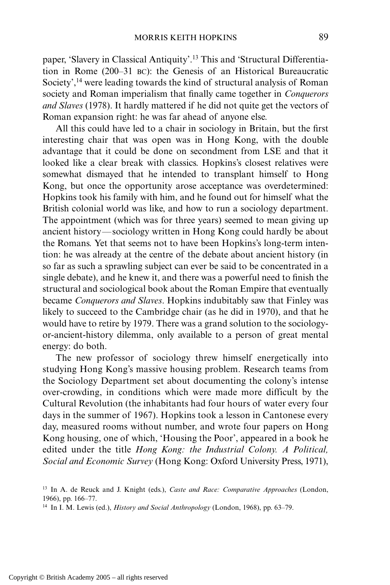paper, 'Slavery in Classical Antiquity'.13 This and 'Structural Differentiation in Rome (200–31 BC): the Genesis of an Historical Bureaucratic Society',<sup>14</sup> were leading towards the kind of structural analysis of Roman society and Roman imperialism that finally came together in *Conquerors and Slaves* (1978). It hardly mattered if he did not quite get the vectors of Roman expansion right: he was far ahead of anyone else.

All this could have led to a chair in sociology in Britain, but the first interesting chair that was open was in Hong Kong, with the double advantage that it could be done on secondment from LSE and that it looked like a clear break with classics. Hopkins's closest relatives were somewhat dismayed that he intended to transplant himself to Hong Kong, but once the opportunity arose acceptance was overdetermined: Hopkins took his family with him, and he found out for himself what the British colonial world was like, and how to run a sociology department. The appointment (which was for three years) seemed to mean giving up ancient history—sociology written in Hong Kong could hardly be about the Romans. Yet that seems not to have been Hopkins's long-term intention: he was already at the centre of the debate about ancient history (in so far as such a sprawling subject can ever be said to be concentrated in a single debate), and he knew it, and there was a powerful need to finish the structural and sociological book about the Roman Empire that eventually became *Conquerors and Slaves*. Hopkins indubitably saw that Finley was likely to succeed to the Cambridge chair (as he did in 1970), and that he would have to retire by 1979. There was a grand solution to the sociologyor-ancient-history dilemma, only available to a person of great mental energy: do both.

The new professor of sociology threw himself energetically into studying Hong Kong's massive housing problem. Research teams from the Sociology Department set about documenting the colony's intense over-crowding, in conditions which were made more difficult by the Cultural Revolution (the inhabitants had four hours of water every four days in the summer of 1967). Hopkins took a lesson in Cantonese every day, measured rooms without number, and wrote four papers on Hong Kong housing, one of which, 'Housing the Poor', appeared in a book he edited under the title *Hong Kong: the Industrial Colony. A Political, Social and Economic Survey* (Hong Kong: Oxford University Press, 1971),

<sup>13</sup> In A. de Reuck and J. Knight (eds.), *Caste and Race: Comparative Approaches* (London, 1966), pp. 166–77.

<sup>14</sup> In I. M. Lewis (ed.), *History and Social Anthropology* (London, 1968), pp. 63–79.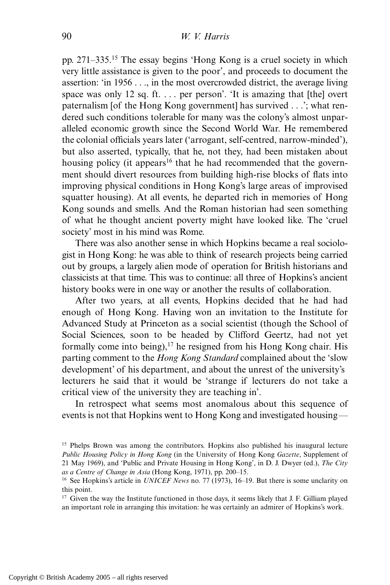pp. 271–335.15 The essay begins 'Hong Kong is a cruel society in which very little assistance is given to the poor', and proceeds to document the assertion: 'in 1956 . . ., in the most overcrowded district, the average living space was only 12 sq. ft. . . . per person'. 'It is amazing that [the] overt paternalism [of the Hong Kong government] has survived . . .'; what rendered such conditions tolerable for many was the colony's almost unparalleled economic growth since the Second World War. He remembered the colonial officials years later ('arrogant, self-centred, narrow-minded'), but also asserted, typically, that he, not they, had been mistaken about housing policy (it appears<sup>16</sup> that he had recommended that the government should divert resources from building high-rise blocks of flats into improving physical conditions in Hong Kong's large areas of improvised squatter housing). At all events, he departed rich in memories of Hong Kong sounds and smells. And the Roman historian had seen something of what he thought ancient poverty might have looked like. The 'cruel society' most in his mind was Rome.

There was also another sense in which Hopkins became a real sociologist in Hong Kong: he was able to think of research projects being carried out by groups, a largely alien mode of operation for British historians and classicists at that time. This was to continue: all three of Hopkins's ancient history books were in one way or another the results of collaboration.

After two years, at all events, Hopkins decided that he had had enough of Hong Kong. Having won an invitation to the Institute for Advanced Study at Princeton as a social scientist (though the School of Social Sciences, soon to be headed by Clifford Geertz, had not yet formally come into being), $17$  he resigned from his Hong Kong chair. His parting comment to the *Hong Kong Standard* complained about the 'slow development' of his department, and about the unrest of the university's lecturers he said that it would be 'strange if lecturers do not take a critical view of the university they are teaching in'.

In retrospect what seems most anomalous about this sequence of events is not that Hopkins went to Hong Kong and investigated housing—

<sup>&</sup>lt;sup>15</sup> Phelps Brown was among the contributors. Hopkins also published his inaugural lecture *Public Housing Policy in Hong Kong* (in the University of Hong Kong *Gazette*, Supplement of 21 May 1969), and 'Public and Private Housing in Hong Kong', in D. J. Dwyer (ed.), *The City as a Centre of Change in Asia* (Hong Kong, 1971), pp. 200–15.

<sup>16</sup> See Hopkins's article in *UNICEF News* no. 77 (1973), 16–19. But there is some unclarity on this point.

<sup>&</sup>lt;sup>17</sup> Given the way the Institute functioned in those days, it seems likely that J. F. Gilliam played an important role in arranging this invitation: he was certainly an admirer of Hopkins's work.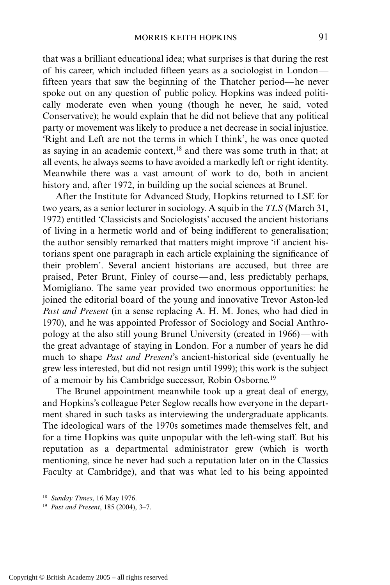that was a brilliant educational idea; what surprises is that during the rest of his career, which included fifteen years as a sociologist in London fifteen years that saw the beginning of the Thatcher period—he never spoke out on any question of public policy. Hopkins was indeed politically moderate even when young (though he never, he said, voted Conservative); he would explain that he did not believe that any political party or movement was likely to produce a net decrease in social injustice. 'Right and Left are not the terms in which I think', he was once quoted as saying in an academic context,18 and there was some truth in that; at all events, he always seems to have avoided a markedly left or right identity. Meanwhile there was a vast amount of work to do, both in ancient history and, after 1972, in building up the social sciences at Brunel.

After the Institute for Advanced Study, Hopkins returned to LSE for two years, as a senior lecturer in sociology. A squib in the *TLS* (March 31, 1972) entitled 'Classicists and Sociologists' accused the ancient historians of living in a hermetic world and of being indifferent to generalisation; the author sensibly remarked that matters might improve 'if ancient historians spent one paragraph in each article explaining the significance of their problem'. Several ancient historians are accused, but three are praised, Peter Brunt, Finley of course—and, less predictably perhaps, Momigliano. The same year provided two enormous opportunities: he joined the editorial board of the young and innovative Trevor Aston-led *Past and Present* (in a sense replacing A. H. M. Jones, who had died in 1970), and he was appointed Professor of Sociology and Social Anthropology at the also still young Brunel University (created in 1966)—with the great advantage of staying in London. For a number of years he did much to shape *Past and Present*'s ancient-historical side (eventually he grew less interested, but did not resign until 1999); this work is the subject of a memoir by his Cambridge successor, Robin Osborne.19

The Brunel appointment meanwhile took up a great deal of energy, and Hopkins's colleague Peter Seglow recalls how everyone in the department shared in such tasks as interviewing the undergraduate applicants. The ideological wars of the 1970s sometimes made themselves felt, and for a time Hopkins was quite unpopular with the left-wing staff. But his reputation as a departmental administrator grew (which is worth mentioning, since he never had such a reputation later on in the Classics Faculty at Cambridge), and that was what led to his being appointed

<sup>18</sup> *Sunday Times*, 16 May 1976.

<sup>19</sup> *Past and Present*, 185 (2004), 3–7.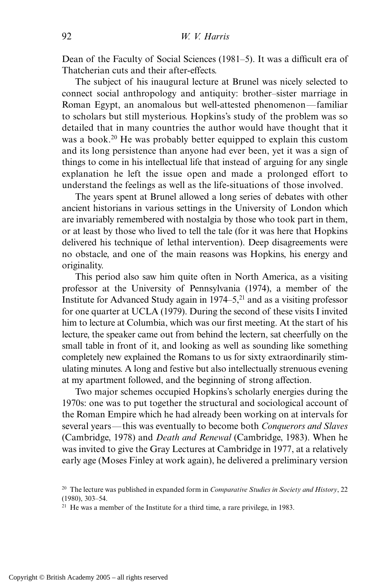Dean of the Faculty of Social Sciences (1981–5). It was a difficult era of Thatcherian cuts and their after-effects.

The subject of his inaugural lecture at Brunel was nicely selected to connect social anthropology and antiquity: brother–sister marriage in Roman Egypt, an anomalous but well-attested phenomenon—familiar to scholars but still mysterious. Hopkins's study of the problem was so detailed that in many countries the author would have thought that it was a book.<sup>20</sup> He was probably better equipped to explain this custom and its long persistence than anyone had ever been, yet it was a sign of things to come in his intellectual life that instead of arguing for any single explanation he left the issue open and made a prolonged effort to understand the feelings as well as the life-situations of those involved.

The years spent at Brunel allowed a long series of debates with other ancient historians in various settings in the University of London which are invariably remembered with nostalgia by those who took part in them, or at least by those who lived to tell the tale (for it was here that Hopkins delivered his technique of lethal intervention). Deep disagreements were no obstacle, and one of the main reasons was Hopkins, his energy and originality.

This period also saw him quite often in North America, as a visiting professor at the University of Pennsylvania (1974), a member of the Institute for Advanced Study again in  $1974-5$ ,<sup>21</sup> and as a visiting professor for one quarter at UCLA (1979). During the second of these visits I invited him to lecture at Columbia, which was our first meeting. At the start of his lecture, the speaker came out from behind the lectern, sat cheerfully on the small table in front of it, and looking as well as sounding like something completely new explained the Romans to us for sixty extraordinarily stimulating minutes. A long and festive but also intellectually strenuous evening at my apartment followed, and the beginning of strong affection.

Two major schemes occupied Hopkins's scholarly energies during the 1970s: one was to put together the structural and sociological account of the Roman Empire which he had already been working on at intervals for several years—this was eventually to become both *Conquerors and Slaves* (Cambridge, 1978) and *Death and Renewal* (Cambridge, 1983). When he was invited to give the Gray Lectures at Cambridge in 1977, at a relatively early age (Moses Finley at work again), he delivered a preliminary version

<sup>20</sup> The lecture was published in expanded form in *Comparative Studies in Society and History*, 22 (1980), 303–54.

<sup>&</sup>lt;sup>21</sup> He was a member of the Institute for a third time, a rare privilege, in 1983.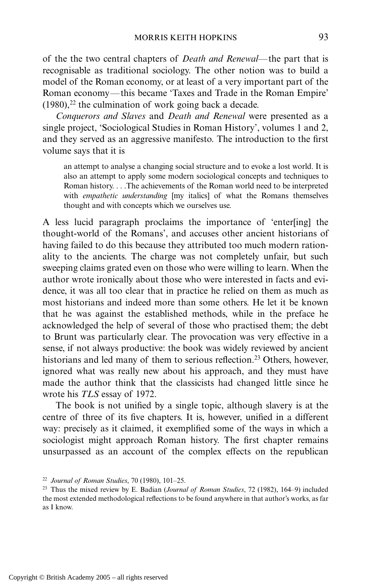of the the two central chapters of *Death and Renewal*—the part that is recognisable as traditional sociology. The other notion was to build a model of the Roman economy, or at least of a very important part of the Roman economy—this became 'Taxes and Trade in the Roman Empire'  $(1980)$ ,<sup>22</sup> the culmination of work going back a decade.

*Conquerors and Slaves* and *Death and Renewal* were presented as a single project, 'Sociological Studies in Roman History', volumes 1 and 2, and they served as an aggressive manifesto. The introduction to the first volume says that it is

an attempt to analyse a changing social structure and to evoke a lost world. It is also an attempt to apply some modern sociological concepts and techniques to Roman history. . . .The achievements of the Roman world need to be interpreted with *empathetic understanding* [my italics] of what the Romans themselves thought and with concepts which we ourselves use.

A less lucid paragraph proclaims the importance of 'enter[ing] the thought-world of the Romans', and accuses other ancient historians of having failed to do this because they attributed too much modern rationality to the ancients. The charge was not completely unfair, but such sweeping claims grated even on those who were willing to learn. When the author wrote ironically about those who were interested in facts and evidence, it was all too clear that in practice he relied on them as much as most historians and indeed more than some others. He let it be known that he was against the established methods, while in the preface he acknowledged the help of several of those who practised them; the debt to Brunt was particularly clear. The provocation was very effective in a sense, if not always productive: the book was widely reviewed by ancient historians and led many of them to serious reflection.<sup>23</sup> Others, however, ignored what was really new about his approach, and they must have made the author think that the classicists had changed little since he wrote his *TLS* essay of 1972.

The book is not unified by a single topic, although slavery is at the centre of three of its five chapters. It is, however, unified in a different way: precisely as it claimed, it exemplified some of the ways in which a sociologist might approach Roman history. The first chapter remains unsurpassed as an account of the complex effects on the republican

<sup>22</sup> *Journal of Roman Studies*, 70 (1980), 101–25.

<sup>23</sup> Thus the mixed review by E. Badian (*Journal of Roman Studies*, 72 (1982), 164–9) included the most extended methodological reflections to be found anywhere in that author's works, as far as I know.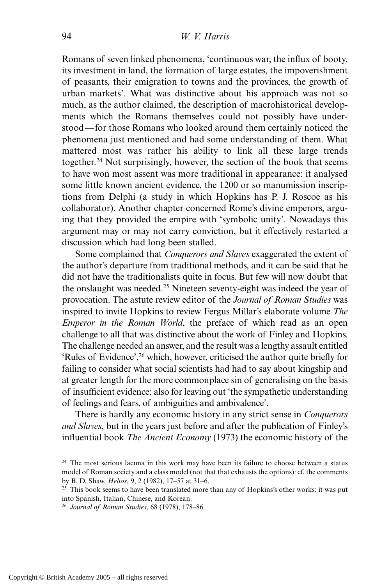Romans of seven linked phenomena, 'continuous war, the influx of booty, its investment in land, the formation of large estates, the impoverishment of peasants, their emigration to towns and the provinces, the growth of urban markets'. What was distinctive about his approach was not so much, as the author claimed, the description of macrohistorical developments which the Romans themselves could not possibly have understood—for those Romans who looked around them certainly noticed the phenomena just mentioned and had some understanding of them. What mattered most was rather his ability to link all these large trends together.<sup>24</sup> Not surprisingly, however, the section of the book that seems to have won most assent was more traditional in appearance: it analysed some little known ancient evidence, the 1200 or so manumission inscriptions from Delphi (a study in which Hopkins has P. J. Roscoe as his collaborator). Another chapter concerned Rome's divine emperors, arguing that they provided the empire with 'symbolic unity'. Nowadays this argument may or may not carry conviction, but it effectively restarted a discussion which had long been stalled.

Some complained that *Conquerors and Slaves* exaggerated the extent of the author's departure from traditional methods, and it can be said that he did not have the traditionalists quite in focus. But few will now doubt that the onslaught was needed.<sup>25</sup> Nineteen seventy-eight was indeed the year of provocation. The astute review editor of the *Journal of Roman Studies* was inspired to invite Hopkins to review Fergus Millar's elaborate volume *The Emperor in the Roman World*, the preface of which read as an open challenge to all that was distinctive about the work of Finley and Hopkins. The challenge needed an answer, and the result was a lengthy assault entitled 'Rules of Evidence',26 which, however, criticised the author quite briefly for failing to consider what social scientists had had to say about kingship and at greater length for the more commonplace sin of generalising on the basis of insufficient evidence; also for leaving out 'the sympathetic understanding of feelings and fears, of ambiguities and ambivalence'.

There is hardly any economic history in any strict sense in *Conquerors and Slaves*, but in the years just before and after the publication of Finley's influential book *The Ancient Economy* (1973) the economic history of the

 $24$  The most serious lacuna in this work may have been its failure to choose between a status model of Roman society and a class model (not that that exhausts the options): cf. the comments by B. D. Shaw, *Helios*, 9, 2 (1982), 17–57 at 31–6.

<sup>&</sup>lt;sup>25</sup> This book seems to have been translated more than any of Hopkins's other works: it was put into Spanish, Italian, Chinese, and Korean.

<sup>26</sup> *Journal of Roman Studies*, 68 (1978), 178–86.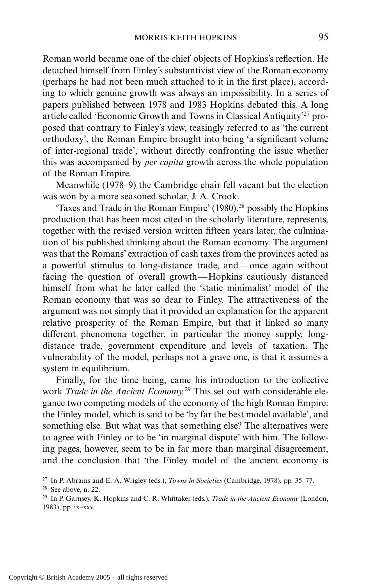Roman world became one of the chief objects of Hopkins's reflection. He detached himself from Finley's substantivist view of the Roman economy (perhaps he had not been much attached to it in the first place), according to which genuine growth was always an impossibility. In a series of papers published between 1978 and 1983 Hopkins debated this. A long article called 'Economic Growth and Towns in Classical Antiquity'27 proposed that contrary to Finley's view, teasingly referred to as 'the current orthodoxy', the Roman Empire brought into being 'a significant volume of inter-regional trade', without directly confronting the issue whether this was accompanied by *per capita* growth across the whole population of the Roman Empire.

Meanwhile (1978–9) the Cambridge chair fell vacant but the election was won by a more seasoned scholar, J. A. Crook.

'Taxes and Trade in the Roman Empire'  $(1980)$ <sup>28</sup> possibly the Hopkins production that has been most cited in the scholarly literature, represents, together with the revised version written fifteen years later, the culmination of his published thinking about the Roman economy. The argument was that the Romans' extraction of cash taxes from the provinces acted as a powerful stimulus to long-distance trade, and—once again without facing the question of overall growth—Hopkins cautiously distanced himself from what he later called the 'static minimalist' model of the Roman economy that was so dear to Finley. The attractiveness of the argument was not simply that it provided an explanation for the apparent relative prosperity of the Roman Empire, but that it linked so many different phenomena together, in particular the money supply, longdistance trade, government expenditure and levels of taxation. The vulnerability of the model, perhaps not a grave one, is that it assumes a system in equilibrium.

Finally, for the time being, came his introduction to the collective work *Trade in the Ancient Economy.*<sup>29</sup> This set out with considerable elegance two competing models of the economy of the high Roman Empire: the Finley model, which is said to be 'by far the best model available', and something else. But what was that something else? The alternatives were to agree with Finley or to be 'in marginal dispute' with him. The following pages, however, seem to be in far more than marginal disagreement, and the conclusion that 'the Finley model of the ancient economy is

<sup>27</sup> In P. Abrams and E. A. Wrigley (eds.), *Towns in Societies* (Cambridge, 1978), pp. 35–77.

<sup>28</sup> See above, n. 22.

<sup>29</sup> In P. Garnsey, K. Hopkins and C. R. Whittaker (eds.), *Trade in the Ancient Economy* (London, 1983), pp. ix–xxv.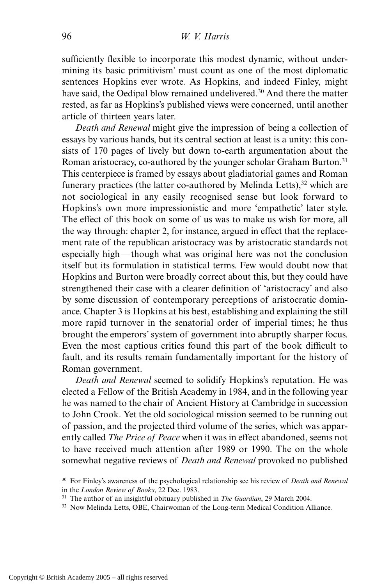sufficiently flexible to incorporate this modest dynamic, without undermining its basic primitivism' must count as one of the most diplomatic sentences Hopkins ever wrote. As Hopkins, and indeed Finley, might have said, the Oedipal blow remained undelivered.<sup>30</sup> And there the matter rested, as far as Hopkins's published views were concerned, until another article of thirteen years later.

*Death and Renewal* might give the impression of being a collection of essays by various hands, but its central section at least is a unity: this consists of 170 pages of lively but down to-earth argumentation about the Roman aristocracy, co-authored by the younger scholar Graham Burton.<sup>31</sup> This centerpiece is framed by essays about gladiatorial games and Roman funerary practices (the latter co-authored by Melinda Letts),<sup>32</sup> which are not sociological in any easily recognised sense but look forward to Hopkins's own more impressionistic and more 'empathetic' later style. The effect of this book on some of us was to make us wish for more, all the way through: chapter 2, for instance, argued in effect that the replacement rate of the republican aristocracy was by aristocratic standards not especially high—though what was original here was not the conclusion itself but its formulation in statistical terms. Few would doubt now that Hopkins and Burton were broadly correct about this, but they could have strengthened their case with a clearer definition of 'aristocracy' and also by some discussion of contemporary perceptions of aristocratic dominance. Chapter 3 is Hopkins at his best, establishing and explaining the still more rapid turnover in the senatorial order of imperial times; he thus brought the emperors' system of government into abruptly sharper focus. Even the most captious critics found this part of the book difficult to fault, and its results remain fundamentally important for the history of Roman government.

*Death and Renewal* seemed to solidify Hopkins's reputation. He was elected a Fellow of the British Academy in 1984, and in the following year he was named to the chair of Ancient History at Cambridge in succession to John Crook. Yet the old sociological mission seemed to be running out of passion, and the projected third volume of the series, which was apparently called *The Price of Peace* when it was in effect abandoned, seems not to have received much attention after 1989 or 1990. The on the whole somewhat negative reviews of *Death and Renewal* provoked no published

<sup>30</sup> For Finley's awareness of the psychological relationship see his review of *Death and Renewal* in the *London Review of Books*, 22 Dec. 1983.

<sup>31</sup> The author of an insightful obituary published in *The Guardian*, 29 March 2004.

<sup>&</sup>lt;sup>32</sup> Now Melinda Letts, OBE, Chairwoman of the Long-term Medical Condition Alliance.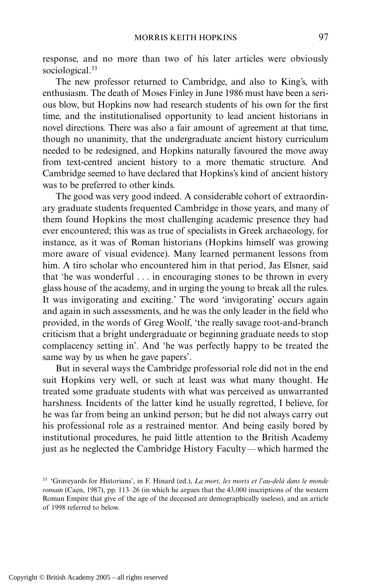response, and no more than two of his later articles were obviously sociological.<sup>33</sup>

The new professor returned to Cambridge, and also to King's, with enthusiasm. The death of Moses Finley in June 1986 must have been a serious blow, but Hopkins now had research students of his own for the first time, and the institutionalised opportunity to lead ancient historians in novel directions. There was also a fair amount of agreement at that time, though no unanimity, that the undergraduate ancient history curriculum needed to be redesigned, and Hopkins naturally favoured the move away from text-centred ancient history to a more thematic structure. And Cambridge seemed to have declared that Hopkins's kind of ancient history was to be preferred to other kinds.

The good was very good indeed. A considerable cohort of extraordinary graduate students frequented Cambridge in those years, and many of them found Hopkins the most challenging academic presence they had ever encountered; this was as true of specialists in Greek archaeology, for instance, as it was of Roman historians (Hopkins himself was growing more aware of visual evidence). Many learned permanent lessons from him. A tiro scholar who encountered him in that period, Jas Elsner, said that 'he was wonderful . . . in encouraging stones to be thrown in every glass house of the academy, and in urging the young to break all the rules. It was invigorating and exciting.' The word 'invigorating' occurs again and again in such assessments, and he was the only leader in the field who provided, in the words of Greg Woolf, 'the really savage root-and-branch criticism that a bright undergraduate or beginning graduate needs to stop complacency setting in'. And 'he was perfectly happy to be treated the same way by us when he gave papers'.

But in several ways the Cambridge professorial role did not in the end suit Hopkins very well, or such at least was what many thought. He treated some graduate students with what was perceived as unwarranted harshness. Incidents of the latter kind he usually regretted, I believe, for he was far from being an unkind person; but he did not always carry out his professional role as a restrained mentor. And being easily bored by institutional procedures, he paid little attention to the British Academy just as he neglected the Cambridge History Faculty—which harmed the

<sup>33</sup> 'Graveyards for Historians', in F. Hinard (ed.), *La mort, les morts et l'au-delà dans le monde romain* (Caen, 1987), pp. 113–26 (in which he argues that the 43,000 inscriptions of the western Roman Empire that give of the age of the deceased are demographically useless), and an article of 1998 referred to below.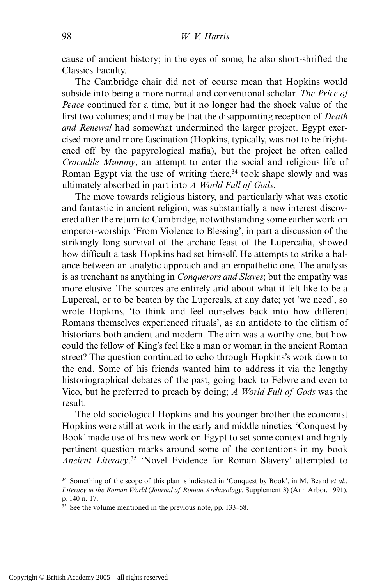cause of ancient history; in the eyes of some, he also short-shrifted the Classics Faculty.

The Cambridge chair did not of course mean that Hopkins would subside into being a more normal and conventional scholar. *The Price of Peace* continued for a time, but it no longer had the shock value of the first two volumes; and it may be that the disappointing reception of *Death and Renewal* had somewhat undermined the larger project. Egypt exercised more and more fascination (Hopkins, typically, was not to be frightened off by the papyrological mafia), but the project he often called *Crocodile Mummy*, an attempt to enter the social and religious life of Roman Egypt via the use of writing there,  $34$  took shape slowly and was ultimately absorbed in part into *A World Full of Gods*.

The move towards religious history, and particularly what was exotic and fantastic in ancient religion, was substantially a new interest discovered after the return to Cambridge, notwithstanding some earlier work on emperor-worship. 'From Violence to Blessing', in part a discussion of the strikingly long survival of the archaic feast of the Lupercalia, showed how difficult a task Hopkins had set himself. He attempts to strike a balance between an analytic approach and an empathetic one. The analysis is as trenchant as anything in *Conquerors and Slaves*; but the empathy was more elusive. The sources are entirely arid about what it felt like to be a Lupercal, or to be beaten by the Lupercals, at any date; yet 'we need', so wrote Hopkins, 'to think and feel ourselves back into how different Romans themselves experienced rituals', as an antidote to the elitism of historians both ancient and modern. The aim was a worthy one, but how could the fellow of King's feel like a man or woman in the ancient Roman street? The question continued to echo through Hopkins's work down to the end. Some of his friends wanted him to address it via the lengthy historiographical debates of the past, going back to Febvre and even to Vico, but he preferred to preach by doing; *A World Full of Gods* was the result.

The old sociological Hopkins and his younger brother the economist Hopkins were still at work in the early and middle nineties. 'Conquest by Book' made use of his new work on Egypt to set some context and highly pertinent question marks around some of the contentions in my book *Ancient Literacy*. <sup>35</sup> 'Novel Evidence for Roman Slavery' attempted to

<sup>34</sup> Something of the scope of this plan is indicated in 'Conquest by Book', in M. Beard *et al*., *Literacy in the Roman World* (*Journal of Roman Archaeology*, Supplement 3) (Ann Arbor, 1991), p. 140 n. 17.

<sup>35</sup> See the volume mentioned in the previous note, pp. 133–58.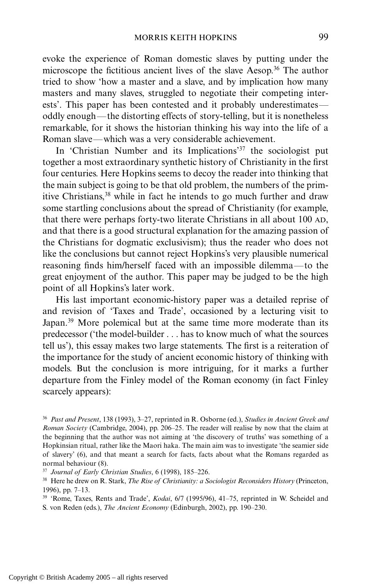evoke the experience of Roman domestic slaves by putting under the microscope the fictitious ancient lives of the slave Aesop.36 The author tried to show 'how a master and a slave, and by implication how many masters and many slaves, struggled to negotiate their competing interests'. This paper has been contested and it probably underestimates oddly enough—the distorting effects of story-telling, but it is nonetheless remarkable, for it shows the historian thinking his way into the life of a Roman slave—which was a very considerable achievement.

In 'Christian Number and its Implications'37 the sociologist put together a most extraordinary synthetic history of Christianity in the first four centuries. Here Hopkins seems to decoy the reader into thinking that the main subject is going to be that old problem, the numbers of the primitive Christians,38 while in fact he intends to go much further and draw some startling conclusions about the spread of Christianity (for example, that there were perhaps forty-two literate Christians in all about 100 AD, and that there is a good structural explanation for the amazing passion of the Christians for dogmatic exclusivism); thus the reader who does not like the conclusions but cannot reject Hopkins's very plausible numerical reasoning finds him/herself faced with an impossible dilemma—to the great enjoyment of the author. This paper may be judged to be the high point of all Hopkins's later work.

His last important economic-history paper was a detailed reprise of and revision of 'Taxes and Trade', occasioned by a lecturing visit to Japan.<sup>39</sup> More polemical but at the same time more moderate than its predecessor ('the model-builder . . . has to know much of what the sources tell us'), this essay makes two large statements. The first is a reiteration of the importance for the study of ancient economic history of thinking with models. But the conclusion is more intriguing, for it marks a further departure from the Finley model of the Roman economy (in fact Finley scarcely appears):

<sup>36</sup> *Past and Present*, 138 (1993), 3–27, reprinted in R. Osborne (ed.), *Studies in Ancient Greek and Roman Society* (Cambridge, 2004), pp. 206–25. The reader will realise by now that the claim at the beginning that the author was not aiming at 'the discovery of truths' was something of a Hopkinsian ritual, rather like the Maori haka. The main aim was to investigate 'the seamier side of slavery' (6), and that meant a search for facts, facts about what the Romans regarded as normal behaviour (8).

<sup>37</sup> *Journal of Early Christian Studies*, 6 (1998), 185–226.

<sup>38</sup> Here he drew on R. Stark, *The Rise of Christianity: a Sociologist Reconsiders History* (Princeton, 1996), pp. 7–13.

<sup>39</sup> 'Rome, Taxes, Rents and Trade', *Kodai*, 6/7 (1995/96), 41–75, reprinted in W. Scheidel and S. von Reden (eds.), *The Ancient Economy* (Edinburgh, 2002), pp. 190–230.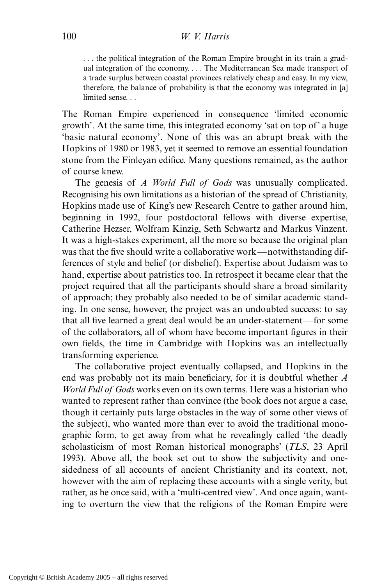. . . the political integration of the Roman Empire brought in its train a gradual integration of the economy.... The Mediterranean Sea made transport of a trade surplus between coastal provinces relatively cheap and easy. In my view, therefore, the balance of probability is that the economy was integrated in [a] limited sense. . .

The Roman Empire experienced in consequence 'limited economic growth'. At the same time, this integrated economy 'sat on top of' a huge 'basic natural economy'. None of this was an abrupt break with the Hopkins of 1980 or 1983, yet it seemed to remove an essential foundation stone from the Finleyan edifice. Many questions remained, as the author of course knew.

The genesis of *A World Full of Gods* was unusually complicated. Recognising his own limitations as a historian of the spread of Christianity, Hopkins made use of King's new Research Centre to gather around him, beginning in 1992, four postdoctoral fellows with diverse expertise, Catherine Hezser, Wolfram Kinzig, Seth Schwartz and Markus Vinzent. It was a high-stakes experiment, all the more so because the original plan was that the five should write a collaborative work—notwithstanding differences of style and belief (or disbelief). Expertise about Judaism was to hand, expertise about patristics too. In retrospect it became clear that the project required that all the participants should share a broad similarity of approach; they probably also needed to be of similar academic standing. In one sense, however, the project was an undoubted success: to say that all five learned a great deal would be an under-statement—for some of the collaborators, all of whom have become important figures in their own fields, the time in Cambridge with Hopkins was an intellectually transforming experience.

The collaborative project eventually collapsed, and Hopkins in the end was probably not its main beneficiary, for it is doubtful whether *A World Full of Gods* works even on its own terms. Here was a historian who wanted to represent rather than convince (the book does not argue a case, though it certainly puts large obstacles in the way of some other views of the subject), who wanted more than ever to avoid the traditional monographic form, to get away from what he revealingly called 'the deadly scholasticism of most Roman historical monographs' (*TLS*, 23 April 1993). Above all, the book set out to show the subjectivity and onesidedness of all accounts of ancient Christianity and its context, not, however with the aim of replacing these accounts with a single verity, but rather, as he once said, with a 'multi-centred view'. And once again, wanting to overturn the view that the religions of the Roman Empire were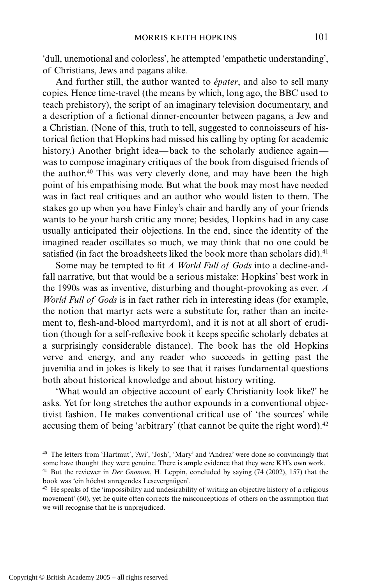'dull, unemotional and colorless', he attempted 'empathetic understanding', of Christians, Jews and pagans alike.

And further still, the author wanted to *épater*, and also to sell many copies. Hence time-travel (the means by which, long ago, the BBC used to teach prehistory), the script of an imaginary television documentary, and a description of a fictional dinner-encounter between pagans, a Jew and a Christian. (None of this, truth to tell, suggested to connoisseurs of historical fiction that Hopkins had missed his calling by opting for academic history.) Another bright idea—back to the scholarly audience again was to compose imaginary critiques of the book from disguised friends of the author.40 This was very cleverly done, and may have been the high point of his empathising mode. But what the book may most have needed was in fact real critiques and an author who would listen to them. The stakes go up when you have Finley's chair and hardly any of your friends wants to be your harsh critic any more; besides, Hopkins had in any case usually anticipated their objections. In the end, since the identity of the imagined reader oscillates so much, we may think that no one could be satisfied (in fact the broadsheets liked the book more than scholars did).<sup>41</sup>

Some may be tempted to fit *A World Full of Gods* into a decline-andfall narrative, but that would be a serious mistake: Hopkins' best work in the 1990s was as inventive, disturbing and thought-provoking as ever. *A World Full of Gods* is in fact rather rich in interesting ideas (for example, the notion that martyr acts were a substitute for, rather than an incitement to, flesh-and-blood martyrdom), and it is not at all short of erudition (though for a self-reflexive book it keeps specific scholarly debates at a surprisingly considerable distance). The book has the old Hopkins verve and energy, and any reader who succeeds in getting past the juvenilia and in jokes is likely to see that it raises fundamental questions both about historical knowledge and about history writing.

'What would an objective account of early Christianity look like?' he asks. Yet for long stretches the author expounds in a conventional objectivist fashion. He makes conventional critical use of 'the sources' while accusing them of being 'arbitrary' (that cannot be quite the right word).<sup>42</sup>

<sup>40</sup> The letters from 'Hartmut', 'Avi', 'Josh', 'Mary' and 'Andrea' were done so convincingly that some have thought they were genuine. There is ample evidence that they were KH's own work. <sup>41</sup> But the reviewer in *Der Gnomon*, H. Leppin, concluded by saying (74 (2002), 157) that the book was 'ein höchst anregendes Lesevergnügen'.

<sup>&</sup>lt;sup>42</sup> He speaks of the 'impossibility and undesirability of writing an objective history of a religious movement' (60), yet he quite often corrects the misconceptions of others on the assumption that we will recognise that he is unprejudiced.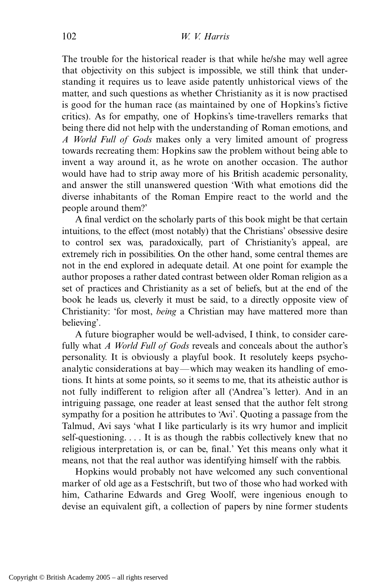The trouble for the historical reader is that while he/she may well agree that objectivity on this subject is impossible, we still think that understanding it requires us to leave aside patently unhistorical views of the matter, and such questions as whether Christianity as it is now practised is good for the human race (as maintained by one of Hopkins's fictive critics). As for empathy, one of Hopkins's time-travellers remarks that being there did not help with the understanding of Roman emotions, and *A World Full of Gods* makes only a very limited amount of progress towards recreating them: Hopkins saw the problem without being able to invent a way around it, as he wrote on another occasion. The author would have had to strip away more of his British academic personality, and answer the still unanswered question 'With what emotions did the diverse inhabitants of the Roman Empire react to the world and the people around them?'

A final verdict on the scholarly parts of this book might be that certain intuitions, to the effect (most notably) that the Christians' obsessive desire to control sex was, paradoxically, part of Christianity's appeal, are extremely rich in possibilities. On the other hand, some central themes are not in the end explored in adequate detail. At one point for example the author proposes a rather dated contrast between older Roman religion as a set of practices and Christianity as a set of beliefs, but at the end of the book he leads us, cleverly it must be said, to a directly opposite view of Christianity: 'for most, *being* a Christian may have mattered more than believing'.

A future biographer would be well-advised, I think, to consider carefully what *A World Full of Gods* reveals and conceals about the author's personality. It is obviously a playful book. It resolutely keeps psychoanalytic considerations at bay—which may weaken its handling of emotions. It hints at some points, so it seems to me, that its atheistic author is not fully indifferent to religion after all ('Andrea''s letter). And in an intriguing passage, one reader at least sensed that the author felt strong sympathy for a position he attributes to 'Avi'. Quoting a passage from the Talmud, Avi says 'what I like particularly is its wry humor and implicit self-questioning. . . . It is as though the rabbis collectively knew that no religious interpretation is, or can be, final.' Yet this means only what it means, not that the real author was identifying himself with the rabbis.

Hopkins would probably not have welcomed any such conventional marker of old age as a Festschrift, but two of those who had worked with him, Catharine Edwards and Greg Woolf, were ingenious enough to devise an equivalent gift, a collection of papers by nine former students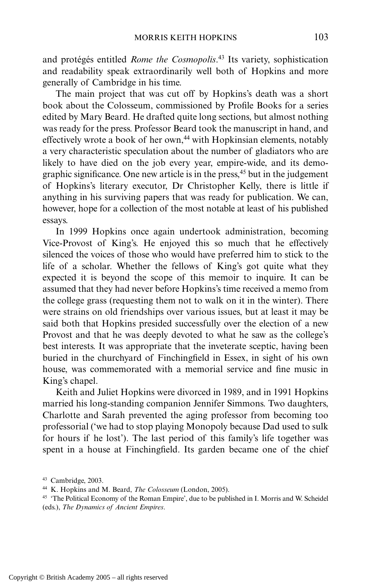and protégés entitled *Rome the Cosmopolis*. <sup>43</sup> Its variety, sophistication and readability speak extraordinarily well both of Hopkins and more generally of Cambridge in his time.

The main project that was cut off by Hopkins's death was a short book about the Colosseum, commissioned by Profile Books for a series edited by Mary Beard. He drafted quite long sections, but almost nothing was ready for the press. Professor Beard took the manuscript in hand, and effectively wrote a book of her own,<sup>44</sup> with Hopkinsian elements, notably a very characteristic speculation about the number of gladiators who are likely to have died on the job every year, empire-wide, and its demographic significance. One new article is in the press,<sup>45</sup> but in the judgement of Hopkins's literary executor, Dr Christopher Kelly, there is little if anything in his surviving papers that was ready for publication. We can, however, hope for a collection of the most notable at least of his published essays.

In 1999 Hopkins once again undertook administration, becoming Vice-Provost of King's. He enjoyed this so much that he effectively silenced the voices of those who would have preferred him to stick to the life of a scholar. Whether the fellows of King's got quite what they expected it is beyond the scope of this memoir to inquire. It can be assumed that they had never before Hopkins's time received a memo from the college grass (requesting them not to walk on it in the winter). There were strains on old friendships over various issues, but at least it may be said both that Hopkins presided successfully over the election of a new Provost and that he was deeply devoted to what he saw as the college's best interests. It was appropriate that the inveterate sceptic, having been buried in the churchyard of Finchingfield in Essex, in sight of his own house, was commemorated with a memorial service and fine music in King's chapel.

Keith and Juliet Hopkins were divorced in 1989, and in 1991 Hopkins married his long-standing companion Jennifer Simmons. Two daughters, Charlotte and Sarah prevented the aging professor from becoming too professorial ('we had to stop playing Monopoly because Dad used to sulk for hours if he lost'). The last period of this family's life together was spent in a house at Finchingfield. Its garden became one of the chief

<sup>43</sup> Cambridge, 2003.

<sup>44</sup> K. Hopkins and M. Beard, *The Colosseum* (London, 2005).

<sup>&</sup>lt;sup>45</sup> 'The Political Economy of the Roman Empire', due to be published in I. Morris and W. Scheidel (eds.), *The Dynamics of Ancient Empires*.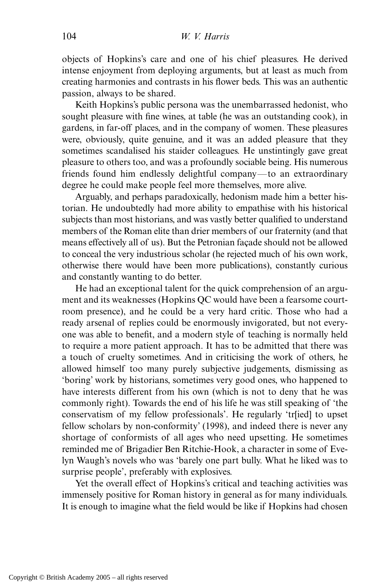objects of Hopkins's care and one of his chief pleasures. He derived intense enjoyment from deploying arguments, but at least as much from creating harmonies and contrasts in his flower beds. This was an authentic passion, always to be shared.

Keith Hopkins's public persona was the unembarrassed hedonist, who sought pleasure with fine wines, at table (he was an outstanding cook), in gardens, in far-off places, and in the company of women. These pleasures were, obviously, quite genuine, and it was an added pleasure that they sometimes scandalised his staider colleagues. He unstintingly gave great pleasure to others too, and was a profoundly sociable being. His numerous friends found him endlessly delightful company—to an extraordinary degree he could make people feel more themselves, more alive.

Arguably, and perhaps paradoxically, hedonism made him a better historian. He undoubtedly had more ability to empathise with his historical subjects than most historians, and was vastly better qualified to understand members of the Roman elite than drier members of our fraternity (and that means effectively all of us). But the Petronian façade should not be allowed to conceal the very industrious scholar (he rejected much of his own work, otherwise there would have been more publications), constantly curious and constantly wanting to do better.

He had an exceptional talent for the quick comprehension of an argument and its weaknesses (Hopkins QC would have been a fearsome courtroom presence), and he could be a very hard critic. Those who had a ready arsenal of replies could be enormously invigorated, but not everyone was able to benefit, and a modern style of teaching is normally held to require a more patient approach. It has to be admitted that there was a touch of cruelty sometimes. And in criticising the work of others, he allowed himself too many purely subjective judgements, dismissing as 'boring' work by historians, sometimes very good ones, who happened to have interests different from his own (which is not to deny that he was commonly right). Towards the end of his life he was still speaking of 'the conservatism of my fellow professionals'. He regularly 'tr[ied] to upset fellow scholars by non-conformity' (1998), and indeed there is never any shortage of conformists of all ages who need upsetting. He sometimes reminded me of Brigadier Ben Ritchie-Hook, a character in some of Evelyn Waugh's novels who was 'barely one part bully. What he liked was to surprise people', preferably with explosives.

Yet the overall effect of Hopkins's critical and teaching activities was immensely positive for Roman history in general as for many individuals. It is enough to imagine what the field would be like if Hopkins had chosen